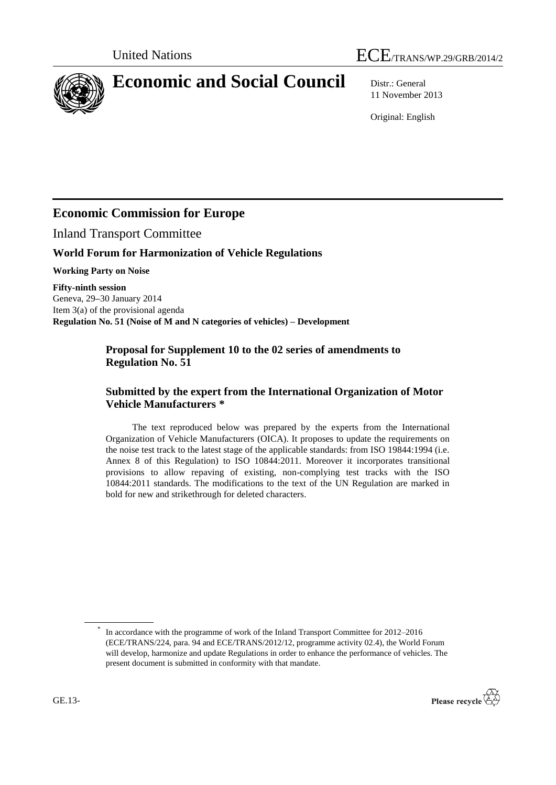



# **Economic and Social Council** Distr.: General

11 November 2013

Original: English

## **Economic Commission for Europe**

Inland Transport Committee

#### **World Forum for Harmonization of Vehicle Regulations**

**Working Party on Noise**

**Fifty-ninth session** Geneva, 29**–**30 January 2014 Item 3(a) of the provisional agenda **Regulation No. 51 (Noise of M and N categories of vehicles) – Development**

#### **Proposal for Supplement 10 to the 02 series of amendments to Regulation No. 51**

#### **Submitted by the expert from the International Organization of Motor Vehicle Manufacturers \***

The text reproduced below was prepared by the experts from the International Organization of Vehicle Manufacturers (OICA). It proposes to update the requirements on the noise test track to the latest stage of the applicable standards: from ISO 19844:1994 (i.e. Annex 8 of this Regulation) to ISO 10844:2011. Moreover it incorporates transitional provisions to allow repaving of existing, non-complying test tracks with the ISO 10844:2011 standards. The modifications to the text of the UN Regulation are marked in bold for new and strikethrough for deleted characters.

<sup>\*</sup> In accordance with the programme of work of the Inland Transport Committee for 2012–2016 (ECE/TRANS/224, para. 94 and ECE/TRANS/2012/12, programme activity 02.4), the World Forum will develop, harmonize and update Regulations in order to enhance the performance of vehicles. The present document is submitted in conformity with that mandate.

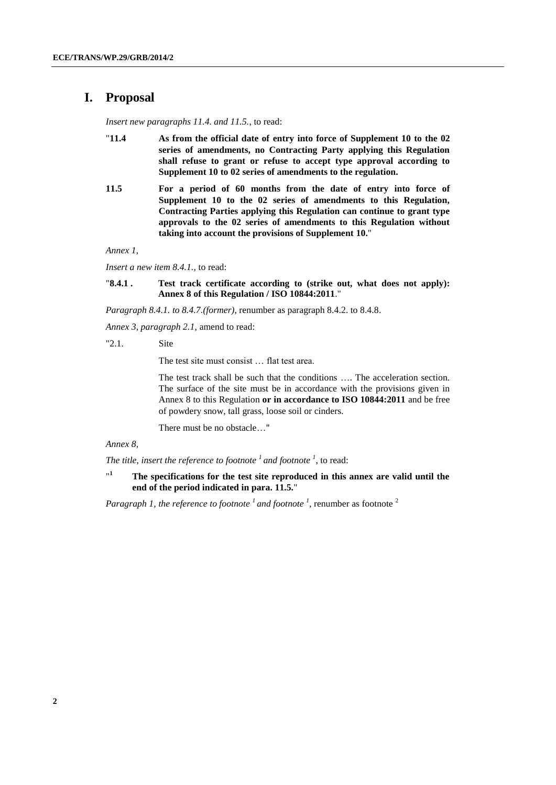#### **I. Proposal**

*Insert new paragraphs 11.4. and 11.5.*, to read:

- "**11.4 As from the official date of entry into force of Supplement 10 to the 02 series of amendments, no Contracting Party applying this Regulation shall refuse to grant or refuse to accept type approval according to Supplement 10 to 02 series of amendments to the regulation.**
- **11.5 For a period of 60 months from the date of entry into force of Supplement 10 to the 02 series of amendments to this Regulation, Contracting Parties applying this Regulation can continue to grant type approvals to the 02 series of amendments to this Regulation without taking into account the provisions of Supplement 10.**"

*Annex 1,* 

*Insert a new item 8.4.1.,* to read:

"**8.4.1 . Test track certificate according to (strike out, what does not apply): Annex 8 of this Regulation / ISO 10844:2011**."

*Paragraph 8.4.1. to 8.4.7.(former)*, renumber as paragraph 8.4.2. to 8.4.8.

*Annex 3, paragraph 2.1,* amend to read:

"2.1. Site

The test site must consist … flat test area.

The test track shall be such that the conditions …. The acceleration section. The surface of the site must be in accordance with the provisions given in Annex 8 to this Regulation **or in accordance to ISO 10844:2011** and be free of powdery snow, tall grass, loose soil or cinders.

There must be no obstacle…"

#### *Annex 8,*

*The title*, *insert the reference to footnote <sup>1</sup>and footnote <sup>1</sup>* , to read:

 $n<sub>1</sub>$ **<sup>1</sup> The specifications for the test site reproduced in this annex are valid until the end of the period indicated in para. 11.5.**"

*Paragraph 1, the reference to footnote* <sup>*1</sup></sup> and footnote* <sup>*1</sup></sup>, renumber as footnote* <sup>2</sup></sup></sup>